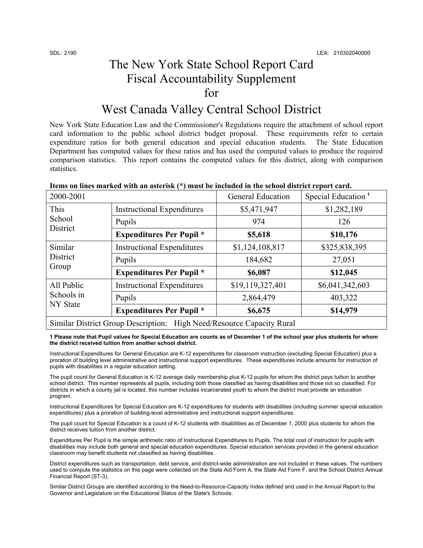## The New York State School Report Card Fiscal Accountability Supplement for

## West Canada Valley Central School District

New York State Education Law and the Commissioner's Regulations require the attachment of school report card information to the public school district budget proposal. These requirements refer to certain expenditure ratios for both general education and special education students. The State Education Department has computed values for these ratios and has used the computed values to produce the required comparison statistics. This report contains the computed values for this district, along with comparison statistics.

| 2000-2001                            |                                   | <b>General Education</b> | Special Education <sup>1</sup> |
|--------------------------------------|-----------------------------------|--------------------------|--------------------------------|
| This<br>School<br>District           | <b>Instructional Expenditures</b> | \$5,471,947              | \$1,282,189                    |
|                                      | Pupils                            | 974                      | 126                            |
|                                      | <b>Expenditures Per Pupil</b> *   | \$5,618                  | \$10,176                       |
| Similar<br>District<br>Group         | <b>Instructional Expenditures</b> | \$1,124,108,817          | \$325,838,395                  |
|                                      | Pupils                            | 184,682                  | 27,051                         |
|                                      | <b>Expenditures Per Pupil</b> *   | \$6,087                  | \$12,045                       |
| All Public<br>Schools in<br>NY State | <b>Instructional Expenditures</b> | \$19,119,327,401         | \$6,041,342,603                |
|                                      | Pupils                            | 2,864,479                | 403,322                        |
|                                      | <b>Expenditures Per Pupil</b> *   | \$6,675                  | \$14,979                       |

### **Items on lines marked with an asterisk (\*) must be included in the school district report card.**

**1 Please note that Pupil values for Special Education are counts as of December 1 of the school year plus students for whom the district received tuition from another school district.** 

Similar District Group Description: High Need/Resource Capacity Rural

Instructional Expenditures for General Education are K-12 expenditures for classroom instruction (excluding Special Education) plus a proration of building level administrative and instructional support expenditures. These expenditures include amounts for instruction of pupils with disabilities in a regular education setting.

The pupil count for General Education is K-12 average daily membership plus K-12 pupils for whom the district pays tuition to another school district. This number represents all pupils, including both those classified as having disabilities and those not so classified. For districts in which a county jail is located, this number includes incarcerated youth to whom the district must provide an education program.

Instructional Expenditures for Special Education are K-12 expenditures for students with disabilities (including summer special education expenditures) plus a proration of building-level administrative and instructional support expenditures.

The pupil count for Special Education is a count of K-12 students with disabilities as of December 1, 2000 plus students for whom the district receives tuition from another district.

Expenditures Per Pupil is the simple arithmetic ratio of Instructional Expenditures to Pupils. The total cost of instruction for pupils with disabilities may include both general and special education expenditures. Special education services provided in the general education classroom may benefit students not classified as having disabilities.

District expenditures such as transportation, debt service, and district-wide administration are not included in these values. The numbers used to compute the statistics on this page were collected on the State Aid Form A, the State Aid Form F, and the School District Annual Financial Report (ST-3).

Similar District Groups are identified according to the Need-to-Resource-Capacity Index defined and used in the Annual Report to the Governor and Legislature on the Educational Status of the State's Schools.